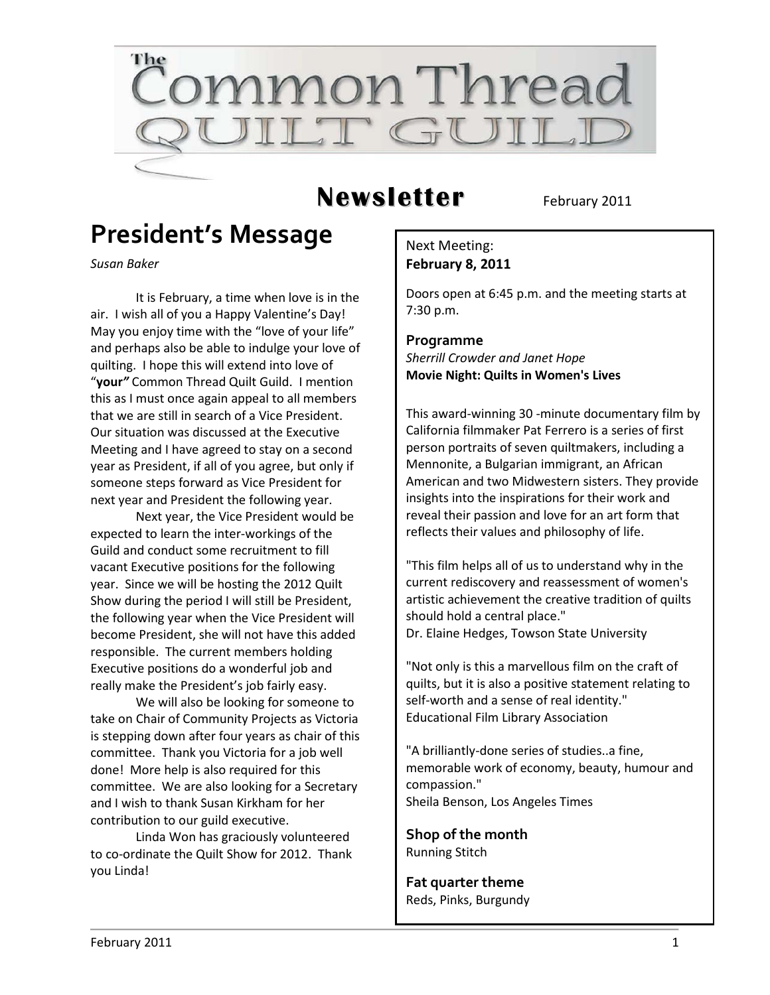

## **Newsletter** February 2011

## **President's Message**

*Susan Baker*

It is February, a time when love is in the air. I wish all of you a Happy Valentine's Day! May you enjoy time with the "love of your life" and perhaps also be able to indulge your love of quilting. I hope this will extend into love of "**your***"* Common Thread Quilt Guild. I mention this as I must once again appeal to all members that we are still in search of a Vice President. Our situation was discussed at the Executive Meeting and I have agreed to stay on a second year as President, if all of you agree, but only if someone steps forward as Vice President for next year and President the following year.

Next year, the Vice President would be expected to learn the inter-workings of the Guild and conduct some recruitment to fill vacant Executive positions for the following year. Since we will be hosting the 2012 Quilt Show during the period I will still be President, the following year when the Vice President will become President, she will not have this added responsible. The current members holding Executive positions do a wonderful job and really make the President's job fairly easy.

We will also be looking for someone to take on Chair of Community Projects as Victoria is stepping down after four years as chair of this committee. Thank you Victoria for a job well done! More help is also required for this committee. We are also looking for a Secretary and I wish to thank Susan Kirkham for her contribution to our guild executive.

Linda Won has graciously volunteered to co-ordinate the Quilt Show for 2012. Thank you Linda!

### Next Meeting: **February 8, 2011**

Doors open at 6:45 p.m. and the meeting starts at 7:30 p.m.

#### **Programme** *Sherrill Crowder and Janet Hope* **Movie Night: Quilts in Women's Lives**

This award-winning 30 -minute documentary film by California filmmaker Pat Ferrero is a series of first person portraits of seven quiltmakers, including a Mennonite, a Bulgarian immigrant, an African American and two Midwestern sisters. They provide insights into the inspirations for their work and reveal their passion and love for an art form that reflects their values and philosophy of life.

"This film helps all of us to understand why in the current rediscovery and reassessment of women's artistic achievement the creative tradition of quilts should hold a central place." Dr. Elaine Hedges, Towson State University

"Not only is this a marvellous film on the craft of quilts, but it is also a positive statement relating to self-worth and a sense of real identity." Educational Film Library Association

"A brilliantly-done series of studies..a fine, memorable work of economy, beauty, humour and compassion." Sheila Benson, Los Angeles Times

**Shop of the month** Running Stitch

**Fat quarter theme** Reds, Pinks, Burgundy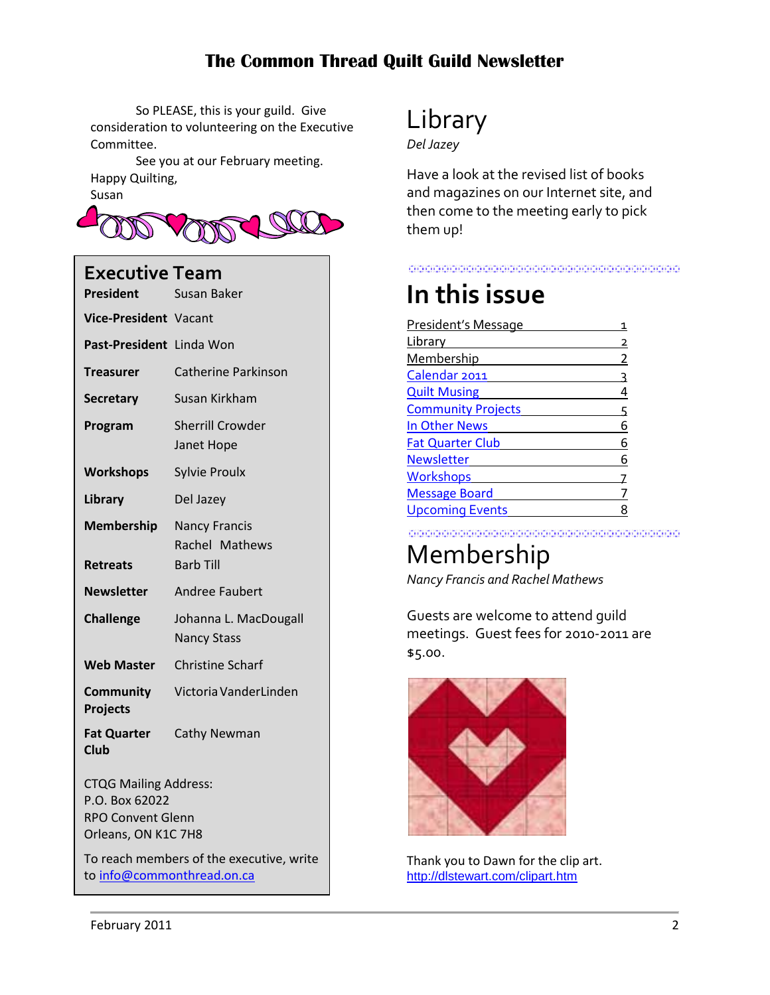So PLEASE, this is your guild. Give consideration to volunteering on the Executive Committee.

See you at our February meeting. Happy Quilting,





### **Executive Team**

| <b>President</b>                                                                                  | Susan Baker                                 |  |
|---------------------------------------------------------------------------------------------------|---------------------------------------------|--|
| <b>Vice-President</b> Vacant                                                                      |                                             |  |
| Past-President Linda Won                                                                          |                                             |  |
| <b>Treasurer</b>                                                                                  | <b>Catherine Parkinson</b>                  |  |
| <b>Secretary</b>                                                                                  | Susan Kirkham                               |  |
| Program                                                                                           | <b>Sherrill Crowder</b><br>Janet Hope       |  |
| <b>Workshops</b>                                                                                  | <b>Sylvie Proulx</b>                        |  |
| Library                                                                                           | Del Jazey                                   |  |
| <b>Membership</b>                                                                                 | <b>Nancy Francis</b><br>Rachel Mathews      |  |
| <b>Retreats</b>                                                                                   | <b>Barb Till</b>                            |  |
| <b>Newsletter</b>                                                                                 | Andree Faubert                              |  |
| <b>Challenge</b>                                                                                  | Johanna L. MacDougall<br><b>Nancy Stass</b> |  |
| <b>Web Master</b>                                                                                 | <b>Christine Scharf</b>                     |  |
| <b>Community</b><br><b>Projects</b>                                                               | Victoria VanderLinden                       |  |
| <b>Fat Quarter</b><br><b>Club</b>                                                                 | Cathy Newman                                |  |
| <b>CTQG Mailing Address:</b><br>P.O. Box 62022<br><b>RPO Convent Glenn</b><br>Orleans, ON K1C 7H8 |                                             |  |
| To reach members of the executive, write<br>to info@commonthread.on.ca                            |                                             |  |

# Library

*Del Jazey*

Have a look at the revised list of books and magazines on our Internet site, and then come to the meeting early to pick them up!

#### <u> 1989 - Johann Stoff, Amerikaansk politiker (f. 1989)</u>

## **In this issue**

| President's Message       |   |
|---------------------------|---|
| Library                   |   |
| Membership                | 2 |
| Calendar 2011             | ς |
| <b>Quilt Musing</b>       | 4 |
| <b>Community Projects</b> | 5 |
| In Other News             | 6 |
| <b>Fat Quarter Club</b>   | 6 |
| <b>Newsletter</b>         | 6 |
| <b>Workshops</b>          |   |
| <b>Message Board</b>      |   |
| <b>Upcoming Events</b>    |   |
|                           |   |

<u> 1989 - Johann Stoff, Amerikaansk politik († 1958)</u>

# Membership

*Nancy Francis and Rachel Mathews*

Guests are welcome to attend guild meetings. Guest fees for 2010-2011 are \$5.00.



Thank you to Dawn for the clip art. [http://dlstewart.com/clipart.htm](http://dlstewart.com/clipart.com)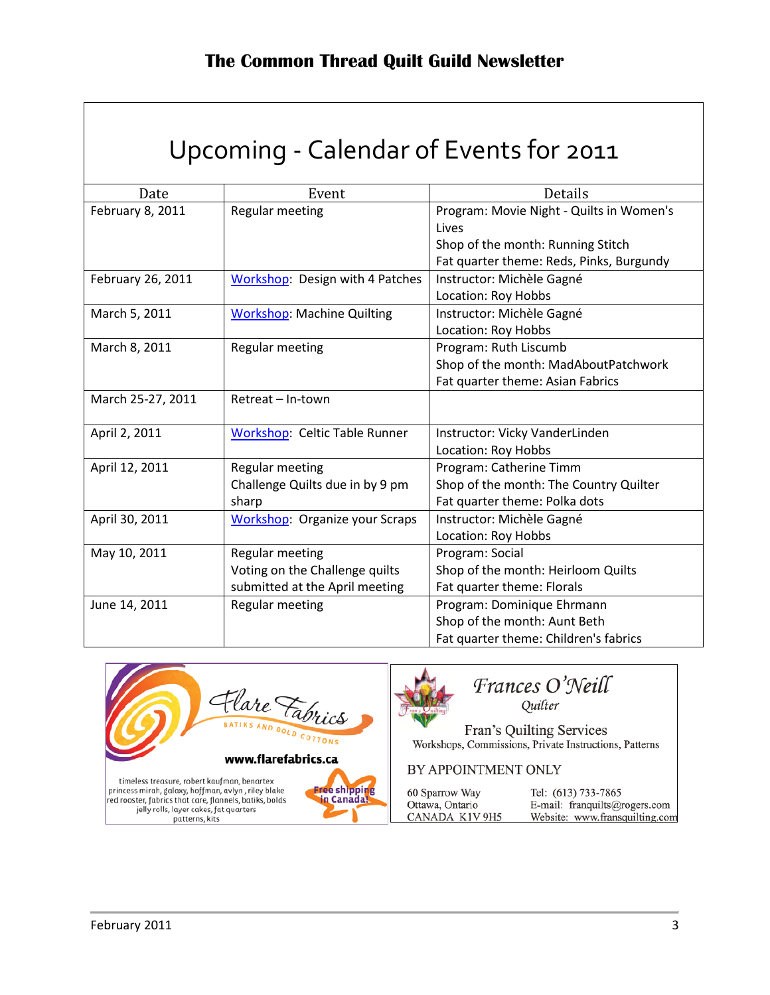## Upcoming - Calendar of Events for 2011

<span id="page-2-0"></span>

| Date              | Event                                  | Details                                  |
|-------------------|----------------------------------------|------------------------------------------|
| February 8, 2011  | <b>Regular meeting</b>                 | Program: Movie Night - Quilts in Women's |
|                   |                                        | Lives                                    |
|                   |                                        | Shop of the month: Running Stitch        |
|                   |                                        | Fat quarter theme: Reds, Pinks, Burgundy |
| February 26, 2011 | <b>Workshop: Design with 4 Patches</b> | Instructor: Michèle Gagné                |
|                   |                                        | Location: Roy Hobbs                      |
| March 5, 2011     | <b>Workshop: Machine Quilting</b>      | Instructor: Michèle Gagné                |
|                   |                                        | Location: Roy Hobbs                      |
| March 8, 2011     | Regular meeting                        | Program: Ruth Liscumb                    |
|                   |                                        | Shop of the month: MadAboutPatchwork     |
|                   |                                        | Fat quarter theme: Asian Fabrics         |
| March 25-27, 2011 | Retreat - In-town                      |                                          |
|                   |                                        |                                          |
| April 2, 2011     | Workshop: Celtic Table Runner          | Instructor: Vicky VanderLinden           |
|                   |                                        | Location: Roy Hobbs                      |
| April 12, 2011    | Regular meeting                        | Program: Catherine Timm                  |
|                   | Challenge Quilts due in by 9 pm        | Shop of the month: The Country Quilter   |
|                   | sharp                                  | Fat quarter theme: Polka dots            |
| April 30, 2011    | <b>Workshop: Organize your Scraps</b>  | Instructor: Michèle Gagné                |
|                   |                                        | Location: Roy Hobbs                      |
| May 10, 2011      | Regular meeting                        | Program: Social                          |
|                   | Voting on the Challenge quilts         | Shop of the month: Heirloom Quilts       |
|                   | submitted at the April meeting         | Fat quarter theme: Florals               |
| June 14, 2011     | Regular meeting                        | Program: Dominique Ehrmann               |
|                   |                                        | Shop of the month: Aunt Beth             |
|                   |                                        | Fat quarter theme: Children's fabrics    |

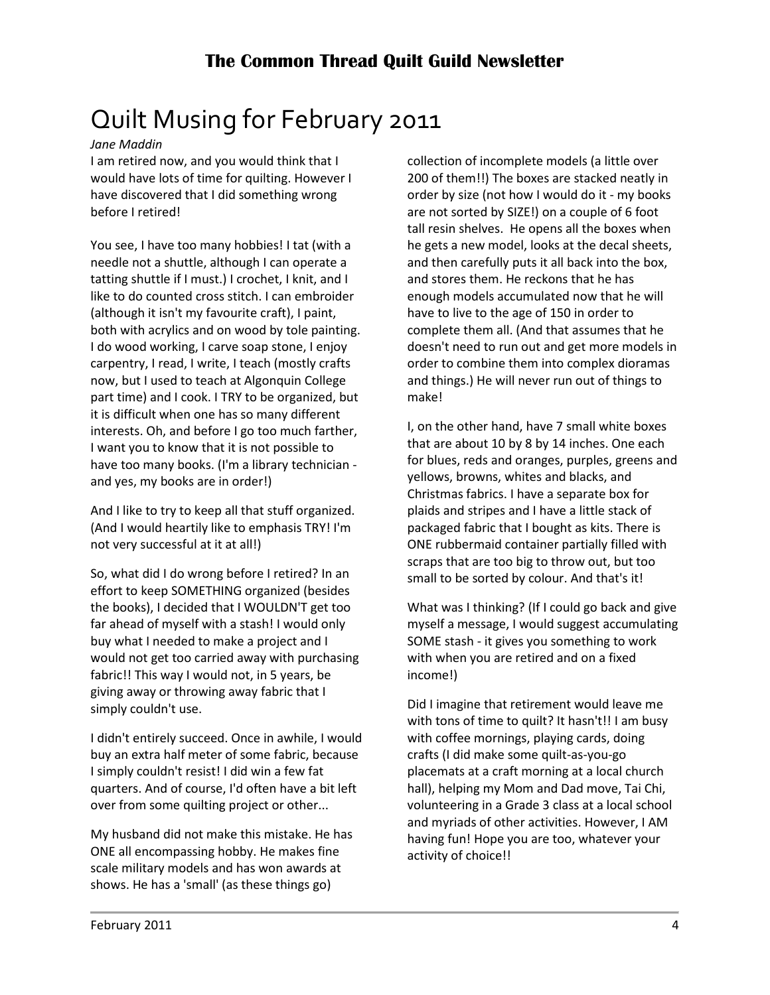# <span id="page-3-0"></span>Quilt Musing for February 2011

*Jane Maddin*

I am retired now, and you would think that I would have lots of time for quilting. However I have discovered that I did something wrong before I retired!

You see, I have too many hobbies! I tat (with a needle not a shuttle, although I can operate a tatting shuttle if I must.) I crochet, I knit, and I like to do counted cross stitch. I can embroider (although it isn't my favourite craft), I paint, both with acrylics and on wood by tole painting. I do wood working, I carve soap stone, I enjoy carpentry, I read, I write, I teach (mostly crafts now, but I used to teach at Algonquin College part time) and I cook. I TRY to be organized, but it is difficult when one has so many different interests. Oh, and before I go too much farther, I want you to know that it is not possible to have too many books. (I'm a library technician and yes, my books are in order!)

And I like to try to keep all that stuff organized. (And I would heartily like to emphasis TRY! I'm not very successful at it at all!)

So, what did I do wrong before I retired? In an effort to keep SOMETHING organized (besides the books), I decided that I WOULDN'T get too far ahead of myself with a stash! I would only buy what I needed to make a project and I would not get too carried away with purchasing fabric!! This way I would not, in 5 years, be giving away or throwing away fabric that I simply couldn't use.

I didn't entirely succeed. Once in awhile, I would buy an extra half meter of some fabric, because I simply couldn't resist! I did win a few fat quarters. And of course, I'd often have a bit left over from some quilting project or other...

My husband did not make this mistake. He has ONE all encompassing hobby. He makes fine scale military models and has won awards at shows. He has a 'small' (as these things go)

collection of incomplete models (a little over 200 of them!!) The boxes are stacked neatly in order by size (not how I would do it - my books are not sorted by SIZE!) on a couple of 6 foot tall resin shelves. He opens all the boxes when he gets a new model, looks at the decal sheets, and then carefully puts it all back into the box, and stores them. He reckons that he has enough models accumulated now that he will have to live to the age of 150 in order to complete them all. (And that assumes that he doesn't need to run out and get more models in order to combine them into complex dioramas and things.) He will never run out of things to make!

I, on the other hand, have 7 small white boxes that are about 10 by 8 by 14 inches. One each for blues, reds and oranges, purples, greens and yellows, browns, whites and blacks, and Christmas fabrics. I have a separate box for plaids and stripes and I have a little stack of packaged fabric that I bought as kits. There is ONE rubbermaid container partially filled with scraps that are too big to throw out, but too small to be sorted by colour. And that's it!

What was I thinking? (If I could go back and give myself a message, I would suggest accumulating SOME stash - it gives you something to work with when you are retired and on a fixed income!)

Did I imagine that retirement would leave me with tons of time to quilt? It hasn't!! I am busy with coffee mornings, playing cards, doing crafts (I did make some quilt-as-you-go placemats at a craft morning at a local church hall), helping my Mom and Dad move, Tai Chi, volunteering in a Grade 3 class at a local school and myriads of other activities. However, I AM having fun! Hope you are too, whatever your activity of choice!!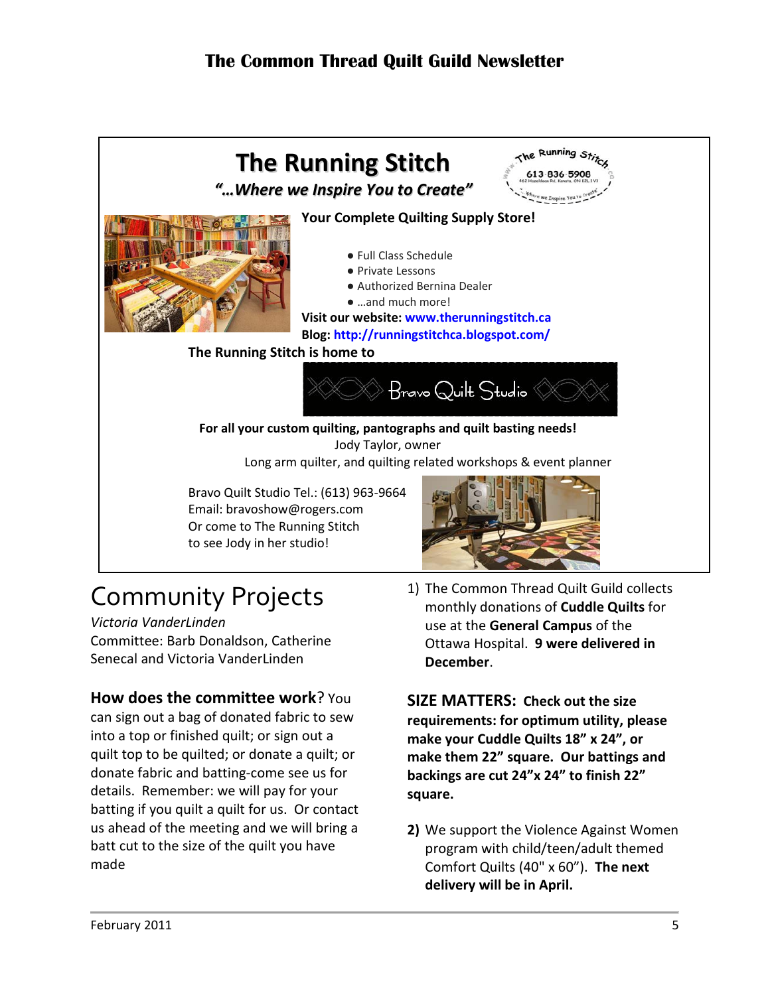

# <span id="page-4-0"></span>Community Projects

*Victoria VanderLinden* Committee: Barb Donaldson, Catherine Senecal and Victoria VanderLinden

### **How does the committee work**? You

can sign out a bag of donated fabric to sew into a top or finished quilt; or sign out a quilt top to be quilted; or donate a quilt; or donate fabric and batting-come see us for details. Remember: we will pay for your batting if you quilt a quilt for us. Or contact us ahead of the meeting and we will bring a batt cut to the size of the quilt you have made

1) The Common Thread Quilt Guild collects monthly donations of **Cuddle Quilts** for use at the **General Campus** of the Ottawa Hospital. **9 were delivered in December**.

**SIZE MATTERS: Check out the size requirements: for optimum utility, please make your Cuddle Quilts 18" x 24", or make them 22" square. Our battings and backings are cut 24"x 24" to finish 22" square.**

**2)** We support the Violence Against Women program with child/teen/adult themed Comfort Quilts (40" x 60"). **The next delivery will be in April.**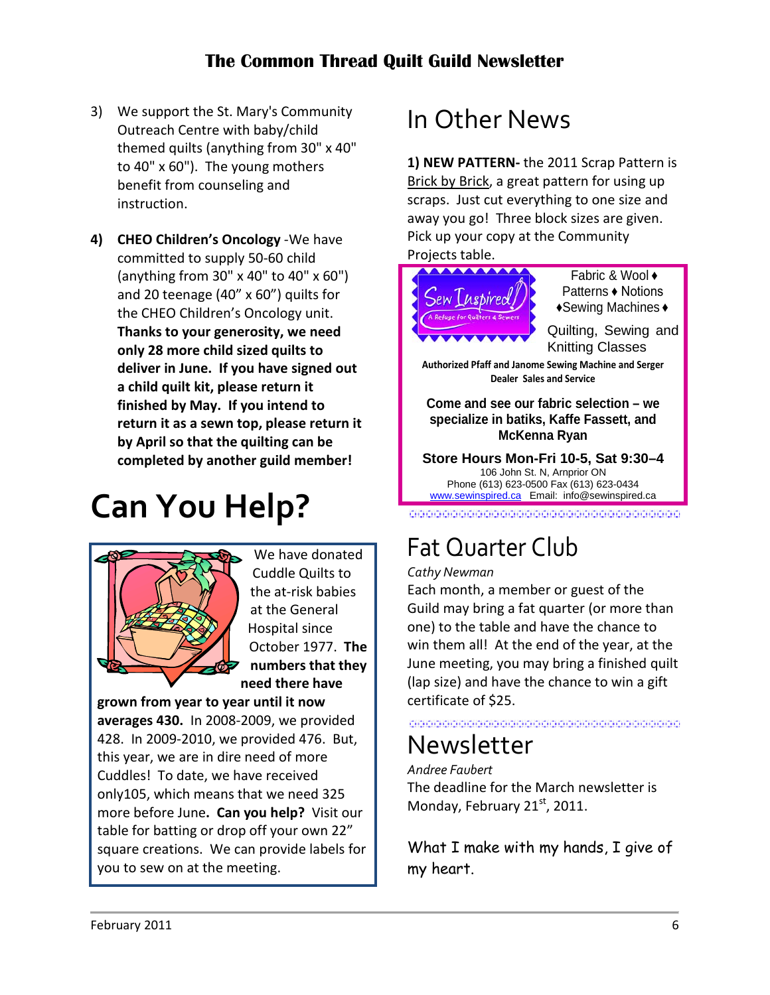- 3) We support the St. Mary's Community Outreach Centre with baby/child themed quilts (anything from 30" x 40" to 40" x 60"). The young mothers benefit from counseling and instruction.
- **4) CHEO Children's Oncology** -We have committed to supply 50-60 child (anything from 30" x 40" to 40" x 60") and 20 teenage (40" x 60") quilts for the CHEO Children's Oncology unit. **Thanks to your generosity, we need only 28 more child sized quilts to deliver in June. If you have signed out a child quilt kit, please return it finished by May. If you intend to return it as a sewn top, please return it by April so that the quilting can be completed by another guild member!**

# **Can You Help?**



We have donated Cuddle Quilts to the at-risk babies at the General Hospital since October 1977. **The numbers that they need there have** 

**grown from year to year until it now averages 430.** In 2008-2009, we provided 428. In 2009-2010, we provided 476. But, this year, we are in dire need of more Cuddles! To date, we have received only105, which means that we need 325 more before June**. Can you help?** Visit our table for batting or drop off your own 22" square creations. We can provide labels for you to sew on at the meeting.

## <span id="page-5-0"></span>In Other News

**1) NEW PATTERN-** the 2011 Scrap Pattern is Brick by Brick, a great pattern for using up scraps. Just cut everything to one size and away you go! Three block sizes are given. Pick up your copy at the Community

#### Projects table.



Fabric & Wool ♦ Patterns ♦ Notions ♦Sewing Machines ♦

Quilting, Sewing and Knitting Classes

**Authorized Pfaff and Janome Sewing Machine and Serger Dealer Sales and Service**

**Come and see our fabric selection – we specialize in batiks, Kaffe Fassett, and McKenna Ryan**

**Store Hours Mon-Fri 10-5, Sat 9:30–4** 106 John St. N, Arnprior ON Phone (613) 623-0500 Fax (613) 623-0434 [www.sewinspired.ca](http://www.sewinspired.ca/) Email: info@sewinspired.ca

#### .<br>I Pri de decisione de la differencia del de la differencia del de de de la diferencia del decisione del seguen<br>La diferencia de de la differencia de la diferencia del diferencia de la diferencia del diferencia de la dife

# <span id="page-5-1"></span>Fat Quarter Club

#### *Cathy Newman*

Each month, a member or guest of the Guild may bring a fat quarter (or more than one) to the table and have the chance to win them all! At the end of the year, at the June meeting, you may bring a finished quilt (lap size) and have the chance to win a gift certificate of \$25.

#### 

## <span id="page-5-2"></span>Newsletter

*Andree Faubert* The deadline for the March newsletter is Monday, February  $21<sup>st</sup>$ , 2011.

What I make with my hands, I give of my heart.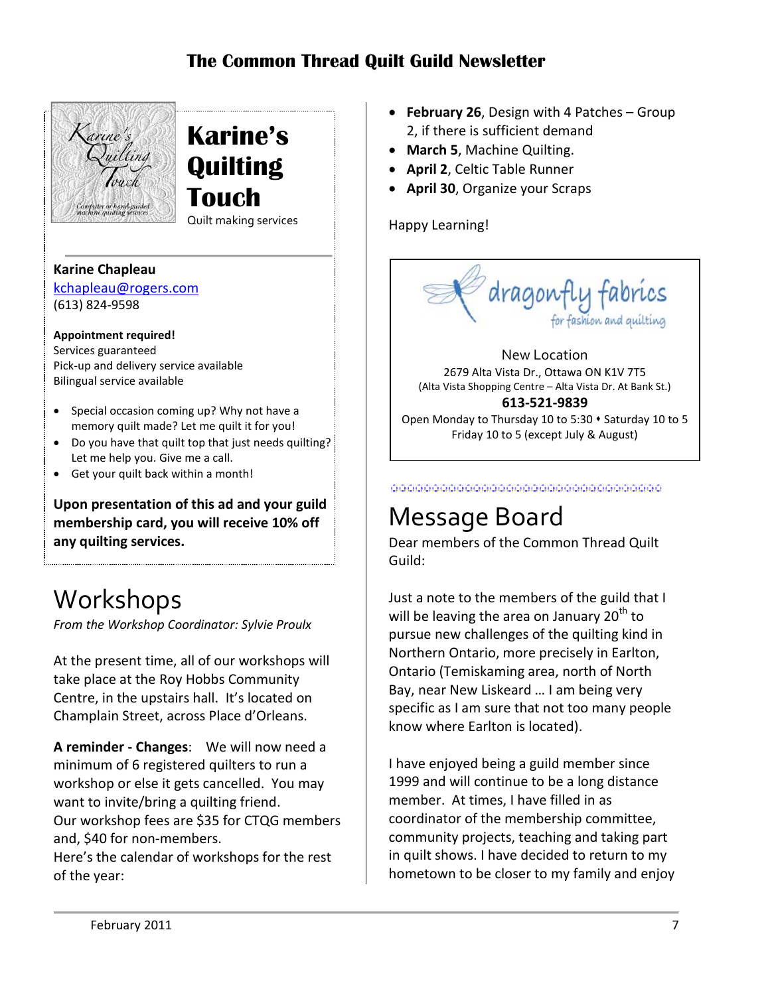

**Karine's Quilting Touch** Quilt making services

..

#### **Karine Chapleau**

[kchapleau@rogers.com](mailto:kchapleau@rogers.com) (613) 824-9598

#### **Appointment required!**

Services guaranteed Pick-up and delivery service available Bilingual service available

- Special occasion coming up? Why not have a memory quilt made? Let me quilt it for you!
- Do you have that quilt top that just needs quilting? Let me help you. Give me a call.
- Get your quilt back within a month!

**Upon presentation of this ad and your guild membership card, you will receive 10% off any quilting services.**

## <span id="page-6-0"></span>Workshops

*From the Workshop Coordinator: Sylvie Proulx*

At the present time, all of our workshops will take place at the Roy Hobbs Community Centre, in the upstairs hall. It's located on Champlain Street, across Place d'Orleans.

**A reminder - Changes**: We will now need a minimum of 6 registered quilters to run a workshop or else it gets cancelled. You may want to invite/bring a quilting friend. Our workshop fees are \$35 for CTQG members and, \$40 for non-members.

Here's the calendar of workshops for the rest of the year:

- **February 26**, Design with 4 Patches Group 2, if there is sufficient demand
- **March 5**, Machine Quilting.
- **April 2**, Celtic Table Runner
- **April 30**, Organize your Scraps

Happy Learning!



2679 Alta Vista Dr., Ottawa ON K1V 7T5 (Alta Vista Shopping Centre – Alta Vista Dr. At Bank St.) **613-521-9839**

Open Monday to Thursday 10 to 5:30  $\cdot$  Saturday 10 to 5 Friday 10 to 5 (except July & August)

<span id="page-6-1"></span>

## Message Board

Dear members of the Common Thread Quilt Guild:

Just a note to the members of the guild that I will be leaving the area on January  $20<sup>th</sup>$  to pursue new challenges of the quilting kind in Northern Ontario, more precisely in Earlton, Ontario (Temiskaming area, north of North Bay, near New Liskeard … I am being very specific as I am sure that not too many people know where Earlton is located).

I have enjoyed being a guild member since 1999 and will continue to be a long distance member. At times, I have filled in as coordinator of the membership committee, community projects, teaching and taking part in quilt shows. I have decided to return to my hometown to be closer to my family and enjoy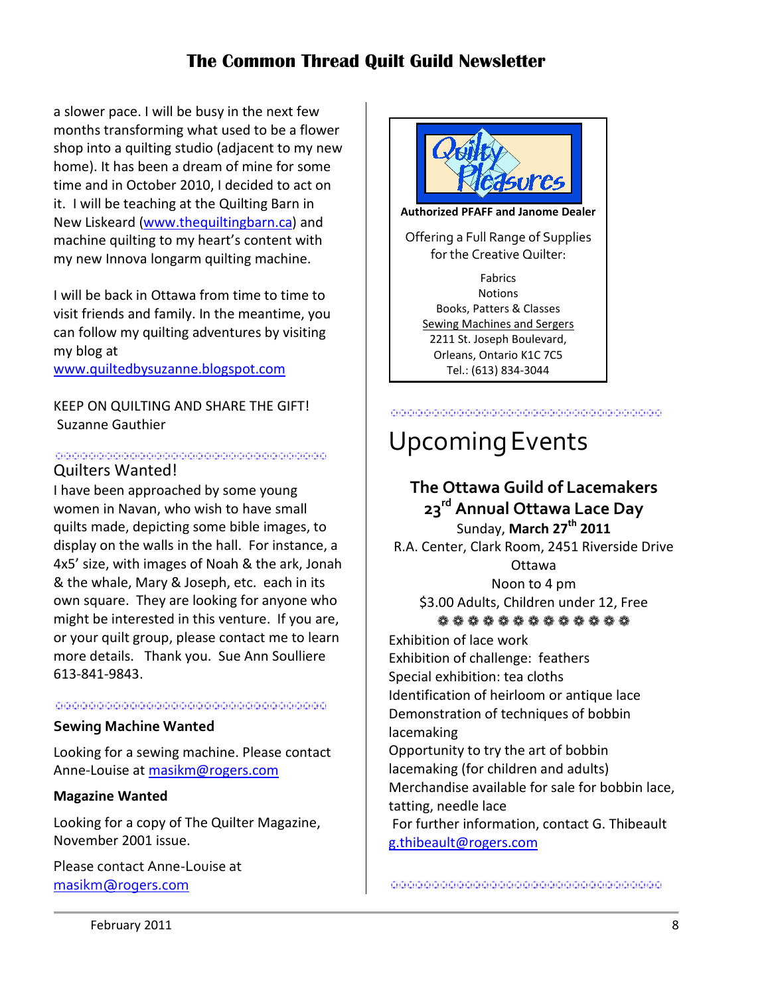a slower pace. I will be busy in the next few months transforming what used to be a flower shop into a quilting studio (adjacent to my new home). It has been a dream of mine for some time and in October 2010, I decided to act on it. I will be teaching at the Quilting Barn in New Liskeard [\(www.thequiltingbarn.ca\)](http://www.thequiltingbarn.ca/) and machine quilting to my heart's content with my new Innova longarm quilting machine.

I will be back in Ottawa from time to time to visit friends and family. In the meantime, you can follow my quilting adventures by visiting my blog at

[www.quiltedbysuzanne.blogspot.com](http://www.quiltedbysuzanne.blogspot.com/)

KEEP ON QUILTING AND SHARE THE GIFT! Suzanne Gauthier

#### <u> 1999 - Johann John Harrison, martin film film eta gazetari (h. 1905).</u> Quilters Wanted!

I have been approached by some young women in Navan, who wish to have small quilts made, depicting some bible images, to display on the walls in the hall. For instance, a 4x5' size, with images of Noah & the ark, Jonah & the whale, Mary & Joseph, etc. each in its own square. They are looking for anyone who might be interested in this venture. If you are, or your quilt group, please contact me to learn more details. Thank you. Sue Ann Soulliere 613-841-9843.

#### 

#### **Sewing Machine Wanted**

Looking for a sewing machine. Please contact Anne-Louise at [masikm@rogers.com](mailto:masikm@rogers.com)

#### **Magazine Wanted**

Looking for a copy of The Quilter Magazine, November 2001 issue.

Please contact Anne-Louise at [masikm@rogers.com](mailto:masikm@rogers.com)



**Notions** Books, Patters & Classes Sewing Machines and Sergers 2211 St. Joseph Boulevard, Orleans, Ontario K1C 7C5 Tel.: (613) 834-3044

#### <span id="page-7-0"></span>

## UpcomingEvents

### **The Ottawa Guild of Lacemakers 23rd Annual Ottawa Lace Day**

Sunday, **March 27th 2011** R.A. Center, Clark Room, 2451 Riverside Drive Ottawa

Noon to 4 pm \$3.00 Adults, Children under 12, Free

### ❁❁❁❁❁❁❁❁❁❁❁❁❁

Exhibition of lace work Exhibition of challenge: feathers Special exhibition: tea cloths Identification of heirloom or antique lace Demonstration of techniques of bobbin lacemaking Opportunity to try the art of bobbin lacemaking (for children and adults)

Merchandise available for sale for bobbin lace, tatting, needle lace For further information, contact G. Thibeault

[g.thibeault@rogers.com](http://ca.mc656.mail.yahoo.com/mc/compose?to=g.thibeault@rogers.com)